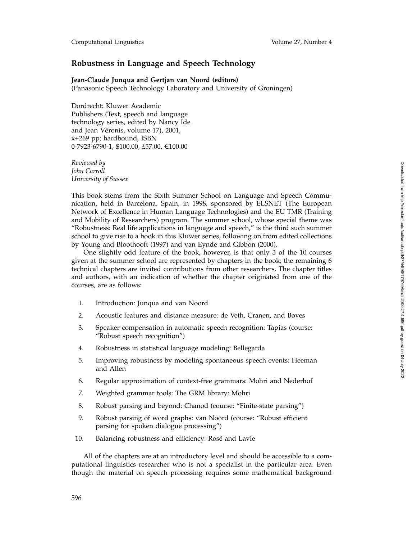## **Robustness in Language and Speech Technology**

## **Jean-Claude Junqua and Gertjan van Noord (editors)**

(Panasonic Speech Technology Laboratory and University of Groningen)

Dordrecht: Kluwer Academic Publishers (Text, speech and language technology series, edited by Nancy Ide and Jean Véronis, volume 17), 2001, x+269 pp; hardbound, ISBN 0-7923-6790-1, \$100.00, £57.00, €100.00

*Reviewed by John Carroll University of Sussex*

This book stems from the Sixth Summer School on Language and Speech Communication, held in Barcelona, Spain, in 1998, sponsored by ELSNET (The European Network of Excellence in Human Language Technologies) and the EU TMR (Training and Mobility of Researchers) program. The summer school, whose special theme was "Robustness: Real life applications in language and speech," is the third such summer school to give rise to a book in this Kluwer series, following on from edited collections by Young and Bloothooft (1997) and van Eynde and Gibbon (2000).

One slightly odd feature of the book, however, is that only 3 of the 10 courses given at the summer school are represented by chapters in the book; the remaining 6 technical chapters are invited contributions from other researchers. The chapter titles and authors, with an indication of whether the chapter originated from one of the courses, are as follows:

- 1. Introduction: Junqua and van Noord
- 2. Acoustic features and distance measure: de Veth, Cranen, and Boves
- 3. Speaker compensation in automatic speech recognition: Tapias (course: "Robust speech recognition")
- 4. Robustness in statistical language modeling: Bellegarda
- 5. Improving robustness by modeling spontaneous speech events: Heeman and Allen
- 6. Regular approximation of context-free grammars: Mohri and Nederhof
- 7. Weighted grammar tools: The GRM library: Mohri
- 8. Robust parsing and beyond: Chanod (course: "Finite-state parsing")
- 9. Robust parsing of word graphs: van Noord (course: "Robust efficient parsing for spoken dialogue processing")
- 10. Balancing robustness and efficiency: Rosé and Lavie

All of the chapters are at an introductory level and should be accessible to a computational linguistics researcher who is not a specialist in the particular area. Even though the material on speech processing requires some mathematical background